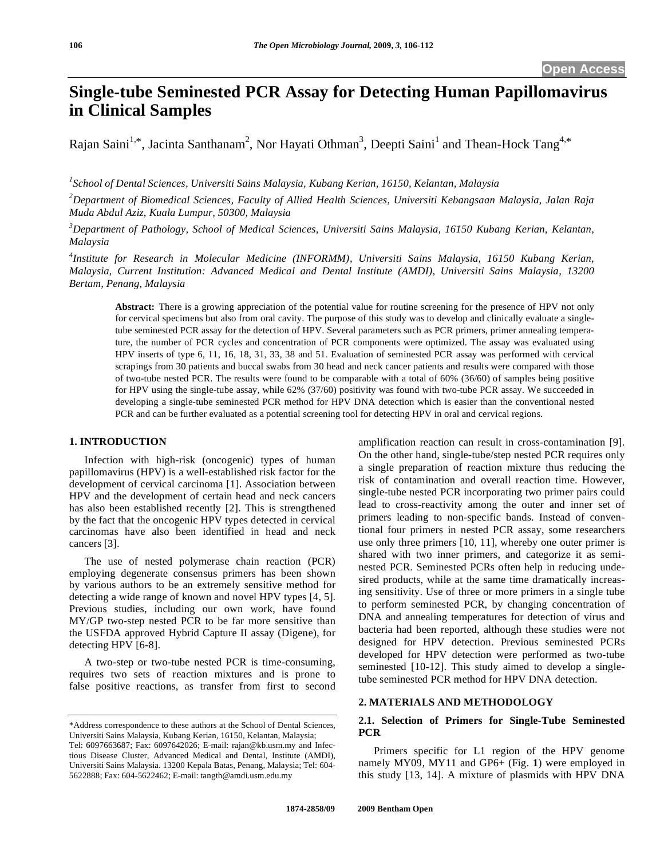# **Single-tube Seminested PCR Assay for Detecting Human Papillomavirus in Clinical Samples**

Rajan Saini<sup>1,\*</sup>, Jacinta Santhanam<sup>2</sup>, Nor Hayati Othman<sup>3</sup>, Deepti Saini<sup>1</sup> and Thean-Hock Tang<sup>4,\*</sup>

*1 School of Dental Sciences, Universiti Sains Malaysia, Kubang Kerian, 16150, Kelantan, Malaysia*

*2 Department of Biomedical Sciences, Faculty of Allied Health Sciences, Universiti Kebangsaan Malaysia, Jalan Raja Muda Abdul Aziz, Kuala Lumpur, 50300, Malaysia* 

*3 Department of Pathology, School of Medical Sciences, Universiti Sains Malaysia, 16150 Kubang Kerian, Kelantan, Malaysia* 

*4 Institute for Research in Molecular Medicine (INFORMM), Universiti Sains Malaysia, 16150 Kubang Kerian, Malaysia, Current Institution: Advanced Medical and Dental Institute (AMDI), Universiti Sains Malaysia, 13200 Bertam, Penang, Malaysia* 

**Abstract:** There is a growing appreciation of the potential value for routine screening for the presence of HPV not only for cervical specimens but also from oral cavity. The purpose of this study was to develop and clinically evaluate a singletube seminested PCR assay for the detection of HPV. Several parameters such as PCR primers, primer annealing temperature, the number of PCR cycles and concentration of PCR components were optimized. The assay was evaluated using HPV inserts of type 6, 11, 16, 18, 31, 33, 38 and 51. Evaluation of seminested PCR assay was performed with cervical scrapings from 30 patients and buccal swabs from 30 head and neck cancer patients and results were compared with those of two-tube nested PCR. The results were found to be comparable with a total of 60% (36/60) of samples being positive for HPV using the single-tube assay, while 62% (37/60) positivity was found with two-tube PCR assay. We succeeded in developing a single-tube seminested PCR method for HPV DNA detection which is easier than the conventional nested PCR and can be further evaluated as a potential screening tool for detecting HPV in oral and cervical regions.

## **1. INTRODUCTION**

 Infection with high-risk (oncogenic) types of human papillomavirus (HPV) is a well-established risk factor for the development of cervical carcinoma [1]. Association between HPV and the development of certain head and neck cancers has also been established recently [2]. This is strengthened by the fact that the oncogenic HPV types detected in cervical carcinomas have also been identified in head and neck cancers [3].

 The use of nested polymerase chain reaction (PCR) employing degenerate consensus primers has been shown by various authors to be an extremely sensitive method for detecting a wide range of known and novel HPV types [4, 5]. Previous studies, including our own work, have found MY/GP two-step nested PCR to be far more sensitive than the USFDA approved Hybrid Capture II assay (Digene), for detecting HPV [6-8].

 A two-step or two-tube nested PCR is time-consuming, requires two sets of reaction mixtures and is prone to false positive reactions, as transfer from first to second amplification reaction can result in cross-contamination [9]. On the other hand, single-tube/step nested PCR requires only a single preparation of reaction mixture thus reducing the risk of contamination and overall reaction time. However, single-tube nested PCR incorporating two primer pairs could lead to cross-reactivity among the outer and inner set of primers leading to non-specific bands. Instead of conventional four primers in nested PCR assay, some researchers use only three primers [10, 11], whereby one outer primer is shared with two inner primers, and categorize it as seminested PCR. Seminested PCRs often help in reducing undesired products, while at the same time dramatically increasing sensitivity. Use of three or more primers in a single tube to perform seminested PCR, by changing concentration of DNA and annealing temperatures for detection of virus and bacteria had been reported, although these studies were not designed for HPV detection. Previous seminested PCRs developed for HPV detection were performed as two-tube seminested [10-12]. This study aimed to develop a singletube seminested PCR method for HPV DNA detection.

#### **2. MATERIALS AND METHODOLOGY**

### **2.1. Selection of Primers for Single-Tube Seminested PCR**

 Primers specific for L1 region of the HPV genome namely MY09, MY11 and GP6+ (Fig. **1**) were employed in this study [13, 14]. A mixture of plasmids with HPV DNA

<sup>\*</sup>Address correspondence to these authors at the School of Dental Sciences, Universiti Sains Malaysia, Kubang Kerian, 16150, Kelantan, Malaysia; Tel: 6097663687; Fax: 6097642026; E-mail: rajan@kb.usm.my and Infectious Disease Cluster, Advanced Medical and Dental, Institute (AMDI), Universiti Sains Malaysia. 13200 Kepala Batas, Penang, Malaysia; Tel: 604- 5622888; Fax: 604-5622462; E-mail: tangth@amdi.usm.edu.my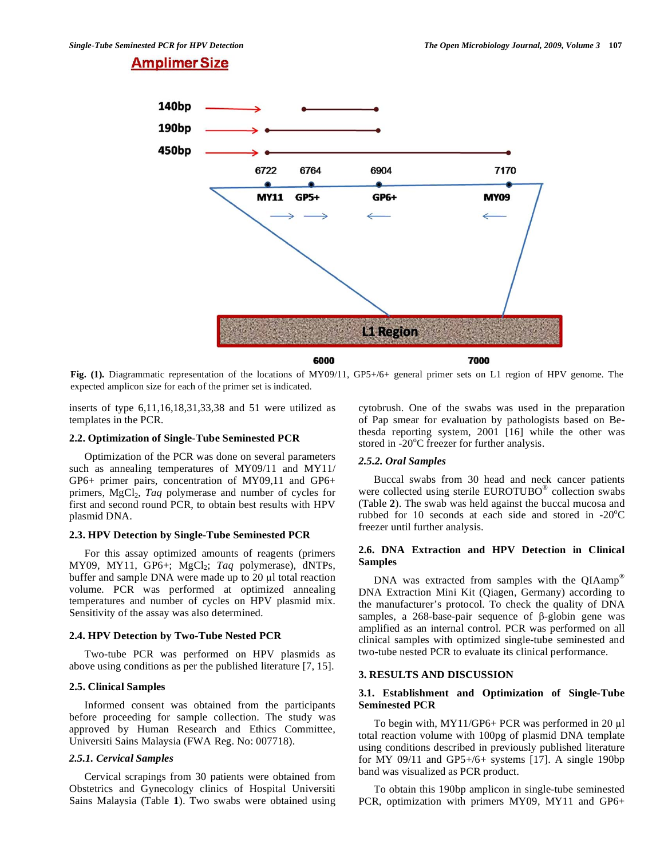## **Amplimer Size**



**Fig. (1).** Diagrammatic representation of the locations of MY09/11, GP5+/6+ general primer sets on L1 region of HPV genome. The expected amplicon size for each of the primer set is indicated.

inserts of type 6,11,16,18,31,33,38 and 51 were utilized as templates in the PCR.

#### **2.2. Optimization of Single-Tube Seminested PCR**

 Optimization of the PCR was done on several parameters such as annealing temperatures of MY09/11 and MY11/ GP6+ primer pairs, concentration of MY09,11 and GP6+ primers, MgCl<sub>2</sub>, *Taq* polymerase and number of cycles for first and second round PCR, to obtain best results with HPV plasmid DNA.

#### **2.3. HPV Detection by Single-Tube Seminested PCR**

 For this assay optimized amounts of reagents (primers MY09, MY11, GP6+; MgCl<sub>2</sub>; *Taq* polymerase), dNTPs, buffer and sample DNA were made up to  $20 \mu l$  total reaction volume. PCR was performed at optimized annealing temperatures and number of cycles on HPV plasmid mix. Sensitivity of the assay was also determined.

### **2.4. HPV Detection by Two-Tube Nested PCR**

 Two-tube PCR was performed on HPV plasmids as above using conditions as per the published literature [7, 15].

#### **2.5. Clinical Samples**

 Informed consent was obtained from the participants before proceeding for sample collection. The study was approved by Human Research and Ethics Committee, Universiti Sains Malaysia (FWA Reg. No: 007718).

#### *2.5.1. Cervical Samples*

 Cervical scrapings from 30 patients were obtained from Obstetrics and Gynecology clinics of Hospital Universiti Sains Malaysia (Table **1**). Two swabs were obtained using cytobrush. One of the swabs was used in the preparation of Pap smear for evaluation by pathologists based on Bethesda reporting system, 2001 [16] while the other was stored in -20°C freezer for further analysis.

### *2.5.2. Oral Samples*

 Buccal swabs from 30 head and neck cancer patients were collected using sterile EUROTUBO® collection swabs (Table **2**). The swab was held against the buccal mucosa and rubbed for 10 seconds at each side and stored in  $-20^{\circ}$ C freezer until further analysis.

#### **2.6. DNA Extraction and HPV Detection in Clinical Samples**

DNA was extracted from samples with the QIAamp<sup>®</sup> DNA Extraction Mini Kit (Qiagen, Germany) according to the manufacturer's protocol. To check the quality of DNA samples, a 268-base-pair sequence of  $\beta$ -globin gene was amplified as an internal control. PCR was performed on all clinical samples with optimized single-tube seminested and two-tube nested PCR to evaluate its clinical performance.

#### **3. RESULTS AND DISCUSSION**

#### **3.1. Establishment and Optimization of Single-Tube Seminested PCR**

To begin with,  $MY11/GP6+PCR$  was performed in 20 µl total reaction volume with 100pg of plasmid DNA template using conditions described in previously published literature for MY 09/11 and GP5+/6+ systems [17]. A single 190bp band was visualized as PCR product.

 To obtain this 190bp amplicon in single-tube seminested PCR, optimization with primers MY09, MY11 and GP6+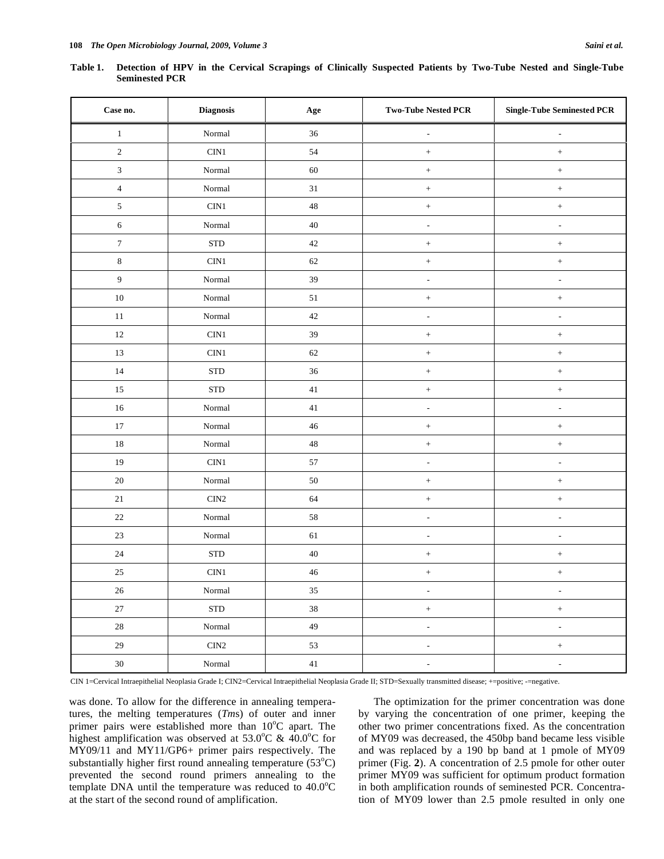**Table 1. Detection of HPV in the Cervical Scrapings of Clinically Suspected Patients by Two-Tube Nested and Single-Tube Seminested PCR** 

| Case no.         | <b>Diagnosis</b>                | Age    | <b>Two-Tube Nested PCR</b> | <b>Single-Tube Seminested PCR</b> |
|------------------|---------------------------------|--------|----------------------------|-----------------------------------|
| $1\,$            | $\mbox{Normal}$                 | $36\,$ | $\overline{\phantom{a}}$   | $\overline{a}$                    |
| $\sqrt{2}$       | CIN1                            | 54     |                            | $^+$                              |
| $\sqrt{3}$       | Normal                          | 60     |                            | $^+$                              |
| $\overline{4}$   | Normal                          | $31\,$ | $^+$                       | $^+$                              |
| $\sqrt{5}$       | CIN1                            | $48\,$ |                            | $^+$                              |
| $\sqrt{6}$       | $\mbox{Normal}$                 | $40\,$ | $\overline{\phantom{a}}$   | $\overline{\phantom{a}}$          |
| $\boldsymbol{7}$ | <b>STD</b>                      | $42\,$ |                            | $^+$                              |
| $\,8\,$          | $\rm CIN1$                      | $62\,$ |                            | $^+$                              |
| $\overline{9}$   | $\mbox{Normal}$                 | 39     | $\overline{\phantom{a}}$   | $\overline{\phantom{a}}$          |
| $10\,$           | $\mbox{Normal}$                 | 51     | $^+$                       | $^+$                              |
| $11\,$           | $\mbox{Normal}$                 | $42\,$ | $\overline{\phantom{a}}$   | $\overline{\phantom{a}}$          |
| $12\,$           | $\rm CIN1$                      | 39     |                            | $\boldsymbol{+}$                  |
| $13\,$           | CIN1                            | 62     | $^+$                       | $^+$                              |
| 14               | <b>STD</b>                      | $36\,$ | $^+$                       | $^+$                              |
| 15               | <b>STD</b>                      | $41\,$ |                            | $^+$                              |
| $16\,$           | $\mbox{Normal}$                 | $41\,$ | $\overline{\phantom{a}}$   | $\blacksquare$                    |
| $17\,$           | $\mbox{Normal}$                 | $46\,$ | $^+$                       | $^+$                              |
| $18\,$           | $\mbox{Normal}$                 | $48\,$ | $\hspace{1.0cm} +$         | $^+$                              |
| 19               | $\rm CIN1$                      | 57     | $\overline{\phantom{a}}$   | $\overline{\phantom{a}}$          |
| $20\,$           | $\mbox{Normal}$                 | $50\,$ | $^+$                       | $^+$                              |
| $21\,$           | $\rm CIN2$                      | 64     |                            | $^+$                              |
| $22\,$           | Normal                          | $58\,$ | $\overline{\phantom{a}}$   | $\overline{\phantom{a}}$          |
| $23\,$           | $\mbox{Normal}$                 | 61     | $\overline{\phantom{a}}$   | $\overline{\phantom{a}}$          |
| $24\,$           | <b>STD</b>                      | $40\,$ |                            | $^+$                              |
| $25\,$           | CIN1                            | $46\,$ |                            | $^+$                              |
| $26\,$           | $\mbox{Normal}$                 | $35\,$ | $\overline{\phantom{a}}$   | $\overline{\phantom{a}}$          |
| $27\,$           | ${\hbox{\footnotesize\rm STD}}$ | $38\,$ | $\qquad \qquad +$          | $\boldsymbol{+}$                  |
| $28\,$           | $\mbox{Normal}$                 | 49     | $\overline{\phantom{a}}$   | $\overline{\phantom{a}}$          |
| $29\,$           | $\rm CIN2$                      | 53     | $\overline{\phantom{a}}$   | $\boldsymbol{+}$                  |
| $30\,$           | $\mbox{Normal}$                 | $41\,$ | $\overline{\phantom{a}}$   | $\overline{\phantom{a}}$          |

CIN 1=Cervical Intraepithelial Neoplasia Grade I; CIN2=Cervical Intraepithelial Neoplasia Grade II; STD=Sexually transmitted disease; +=positive; -=negative.

was done. To allow for the difference in annealing temperatures, the melting temperatures (*Tm*s) of outer and inner primer pairs were established more than 10°C apart. The highest amplification was observed at 53.0°C &  $40.0$ °C for MY09/11 and MY11/GP6+ primer pairs respectively. The substantially higher first round annealing temperature  $(53^{\circ}C)$ prevented the second round primers annealing to the template DNA until the temperature was reduced to  $40.0^{\circ}$ C at the start of the second round of amplification.

 The optimization for the primer concentration was done by varying the concentration of one primer, keeping the other two primer concentrations fixed. As the concentration of MY09 was decreased, the 450bp band became less visible and was replaced by a 190 bp band at 1 pmole of MY09 primer (Fig. **2**). A concentration of 2.5 pmole for other outer primer MY09 was sufficient for optimum product formation in both amplification rounds of seminested PCR. Concentration of MY09 lower than 2.5 pmole resulted in only one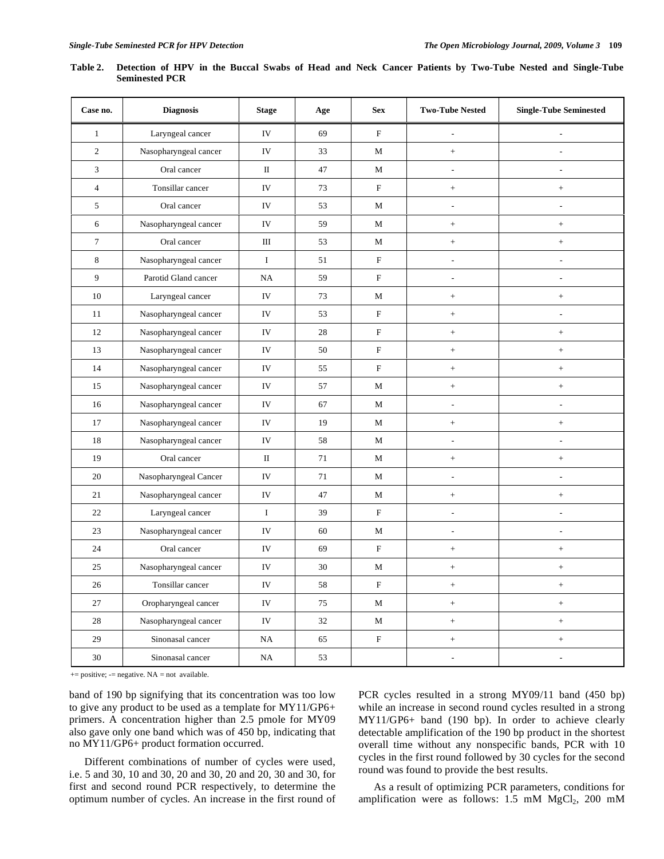| Case no.         | <b>Diagnosis</b>      | <b>Stage</b> | Age    | <b>Sex</b>  | <b>Two-Tube Nested</b>   | <b>Single-Tube Seminested</b>    |
|------------------|-----------------------|--------------|--------|-------------|--------------------------|----------------------------------|
| $\mathbf{1}$     | Laryngeal cancer      | IV           | 69     | $\mathbf F$ |                          | $\overline{a}$                   |
| $\overline{c}$   | Nasopharyngeal cancer | IV           | 33     | М           | $^{+}$                   | ÷,                               |
| 3                | Oral cancer           | $\mathbf{I}$ | 47     | M           | $\overline{\phantom{a}}$ | $\overline{a}$                   |
| $\overline{4}$   | Tonsillar cancer      | IV           | 73     | $\mathbf F$ | $^{+}$                   | $\ddot{}$                        |
| 5                | Oral cancer           | IV           | 53     | M           | $\overline{a}$           | $\overline{a}$                   |
| 6                | Nasopharyngeal cancer | IV           | 59     | $\mathbf M$ | $\qquad \qquad +$        | $^+$                             |
| $\boldsymbol{7}$ | Oral cancer           | Ш            | 53     | М           | $\qquad \qquad +$        | $\! +$                           |
| 8                | Nasopharyngeal cancer | $\bf{I}$     | 51     | $\mathbf F$ | L,                       | ÷,                               |
| 9                | Parotid Gland cancer  | NA           | 59     | $\mathbf F$ | $\overline{a}$           | L,                               |
| 10               | Laryngeal cancer      | IV           | 73     | $\mathbf M$ | $^{+}$                   | $^+$                             |
| 11               | Nasopharyngeal cancer | IV           | 53     | $\mathbf F$ | $^{+}$                   | $\overline{a}$                   |
| 12               | Nasopharyngeal cancer | IV           | 28     | $\mathbf F$ | $\boldsymbol{+}$         | $^+$                             |
| 13               | Nasopharyngeal cancer | IV           | 50     | $\mathbf F$ | $^{+}$                   |                                  |
| 14               | Nasopharyngeal cancer | IV           | 55     | $\mathbf F$ | $+$                      | $+$                              |
| 15               | Nasopharyngeal cancer | IV           | 57     | $\mathbf M$ | $+$                      | $^+$                             |
| 16               | Nasopharyngeal cancer | IV           | 67     | М           | L,                       | $\overline{a}$                   |
| 17               | Nasopharyngeal cancer | IV           | 19     | М           | $\qquad \qquad +$        | $\ddot{}$                        |
| 18               | Nasopharyngeal cancer | ${\rm IV}$   | 58     | $\mathbf M$ | $\overline{a}$           | $\overline{a}$                   |
| 19               | Oral cancer           | П            | 71     | М           | $\qquad \qquad +$        | $^+$                             |
| 20               | Nasopharyngeal Cancer | IV           | 71     | М           | $\overline{a}$           | $\overline{a}$                   |
| 21               | Nasopharyngeal cancer | IV           | 47     | M           | $\qquad \qquad +$        | $^+$                             |
| 22               | Laryngeal cancer      | $\bf{I}$     | 39     | $\mathbf F$ | $\overline{\phantom{a}}$ | $\overline{a}$                   |
| 23               | Nasopharyngeal cancer | IV           | 60     | M           | $\overline{\phantom{a}}$ | $\overline{a}$                   |
| 24               | Oral cancer           | IV           | 69     | $\mathbf F$ | $\qquad \qquad +$        | $\! +$                           |
| $25\,$           | Nasopharyngeal cancer | IV           | 30     | M           | $\qquad \qquad +$        | $^+$                             |
| $26\,$           | Tonsillar cancer      | IV           | 58     | F           | $^{+}$                   | $\begin{array}{c} + \end{array}$ |
| 27               | Oropharyngeal cancer  | IV           | 75     | $\mathbf M$ | $\, +$                   | $\boldsymbol{+}$                 |
| $28\,$           | Nasopharyngeal cancer | ${\rm IV}$   | $32\,$ | $\mathbf M$ | $\, +$                   | $\boldsymbol{+}$                 |
| 29               | Sinonasal cancer      | NA           | 65     | $\mathbf F$ | $^+$                     | $^+$                             |
| $30\,$           | Sinonasal cancer      | NA           | 53     |             | $\blacksquare$           | $\overline{\phantom{a}}$         |

**Table 2. Detection of HPV in the Buccal Swabs of Head and Neck Cancer Patients by Two-Tube Nested and Single-Tube Seminested PCR** 

 $+=$  positive;  $==$  negative. NA = not available.

band of 190 bp signifying that its concentration was too low to give any product to be used as a template for MY11/GP6+ primers. A concentration higher than 2.5 pmole for MY09 also gave only one band which was of 450 bp, indicating that no MY11/GP6+ product formation occurred.

 Different combinations of number of cycles were used, i.e. 5 and 30, 10 and 30, 20 and 30, 20 and 20, 30 and 30, for first and second round PCR respectively, to determine the optimum number of cycles. An increase in the first round of PCR cycles resulted in a strong MY09/11 band (450 bp) while an increase in second round cycles resulted in a strong MY11/GP6+ band (190 bp). In order to achieve clearly detectable amplification of the 190 bp product in the shortest overall time without any nonspecific bands, PCR with 10 cycles in the first round followed by 30 cycles for the second round was found to provide the best results.

 As a result of optimizing PCR parameters, conditions for amplification were as follows:  $1.5$  mM MgCl<sub>2</sub>,  $200$  mM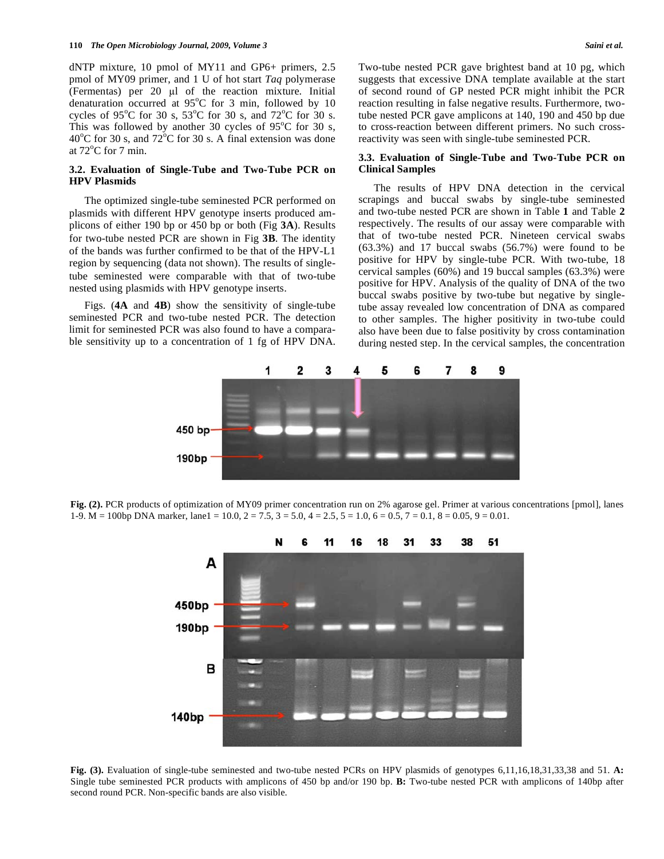dNTP mixture, 10 pmol of MY11 and GP6+ primers, 2.5 pmol of MY09 primer, and 1 U of hot start *Taq* polymerase (Fermentas) per  $20 \text{ }\mu\text{l}$  of the reaction mixture. Initial denaturation occurred at 95°C for 3 min, followed by 10 cycles of 95<sup>o</sup>C for 30 s, 53<sup>o</sup>C for 30 s, and 72<sup>o</sup>C for 30 s. This was followed by another 30 cycles of  $95^{\circ}$ C for 30 s,  $40^{\circ}$ C for 30 s, and  $72^{\circ}$ C for 30 s. A final extension was done at  $72^{\circ}$ C for 7 min.

#### **3.2. Evaluation of Single-Tube and Two-Tube PCR on HPV Plasmids**

 The optimized single-tube seminested PCR performed on plasmids with different HPV genotype inserts produced amplicons of either 190 bp or 450 bp or both (Fig **3A**). Results for two-tube nested PCR are shown in Fig **3B**. The identity of the bands was further confirmed to be that of the HPV-L1 region by sequencing (data not shown). The results of singletube seminested were comparable with that of two-tube nested using plasmids with HPV genotype inserts.

 Figs. (**4A** and **4B**) show the sensitivity of single-tube seminested PCR and two-tube nested PCR. The detection limit for seminested PCR was also found to have a comparable sensitivity up to a concentration of 1 fg of HPV DNA.

Two-tube nested PCR gave brightest band at 10 pg, which suggests that excessive DNA template available at the start of second round of GP nested PCR might inhibit the PCR reaction resulting in false negative results. Furthermore, twotube nested PCR gave amplicons at 140, 190 and 450 bp due to cross-reaction between different primers. No such crossreactivity was seen with single-tube seminested PCR.

#### **3.3. Evaluation of Single-Tube and Two-Tube PCR on Clinical Samples**

 The results of HPV DNA detection in the cervical scrapings and buccal swabs by single-tube seminested and two-tube nested PCR are shown in Table **1** and Table **2** respectively. The results of our assay were comparable with that of two-tube nested PCR. Nineteen cervical swabs (63.3%) and 17 buccal swabs (56.7%) were found to be positive for HPV by single-tube PCR. With two-tube, 18 cervical samples (60%) and 19 buccal samples (63.3%) were positive for HPV. Analysis of the quality of DNA of the two buccal swabs positive by two-tube but negative by singletube assay revealed low concentration of DNA as compared to other samples. The higher positivity in two-tube could also have been due to false positivity by cross contamination during nested step. In the cervical samples, the concentration



**Fig. (2).** PCR products of optimization of MY09 primer concentration run on 2% agarose gel. Primer at various concentrations [pmol], lanes 1-9. M = 100bp DNA marker, lane1 = 10.0, 2 = 7.5, 3 = 5.0, 4 = 2.5, 5 = 1.0, 6 = 0.5, 7 = 0.1, 8 = 0.05, 9 = 0.01.



Fig. (3). Evaluation of single-tube seminested and two-tube nested PCRs on HPV plasmids of genotypes 6,11,16,18,31,33,38 and 51. A: Single tube seminested PCR products with amplicons of 450 bp and/or 190 bp. **B:** Two-tube nested PCR wıth amplicons of 140bp after second round PCR. Non-specific bands are also visible.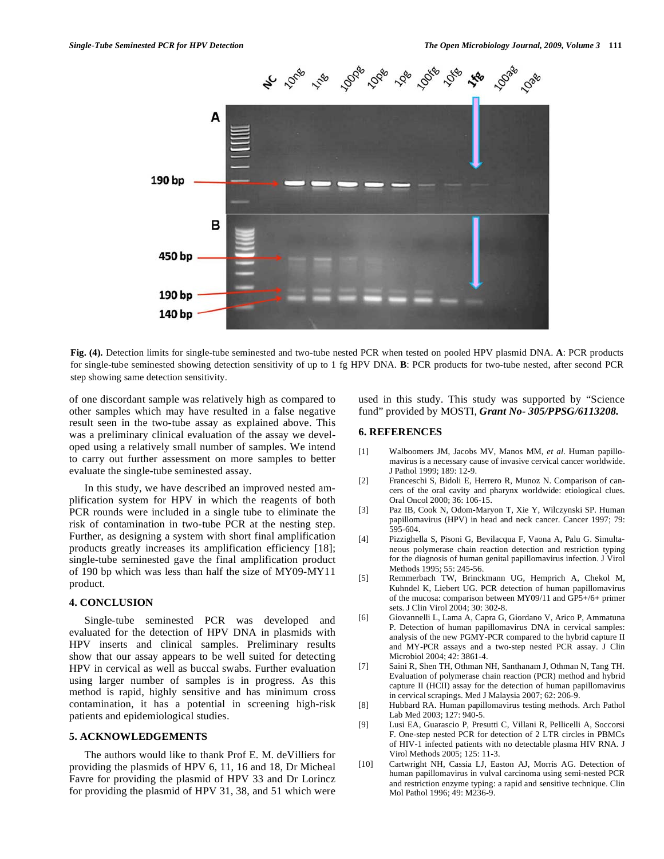

**Fig. (4).** Detection limits for single-tube seminested and two-tube nested PCR when tested on pooled HPV plasmid DNA. **A**: PCR products for single-tube seminested showing detection sensitivity of up to 1 fg HPV DNA. **B**: PCR products for two-tube nested, after second PCR step showing same detection sensitivity.

of one discordant sample was relatively high as compared to other samples which may have resulted in a false negative result seen in the two-tube assay as explained above. This was a preliminary clinical evaluation of the assay we developed using a relatively small number of samples. We intend to carry out further assessment on more samples to better evaluate the single-tube seminested assay.

 In this study, we have described an improved nested amplification system for HPV in which the reagents of both PCR rounds were included in a single tube to eliminate the risk of contamination in two-tube PCR at the nesting step. Further, as designing a system with short final amplification products greatly increases its amplification efficiency [18]; single-tube seminested gave the final amplification product of 190 bp which was less than half the size of MY09-MY11 product.

## **4. CONCLUSION**

 Single-tube seminested PCR was developed and evaluated for the detection of HPV DNA in plasmids with HPV inserts and clinical samples. Preliminary results show that our assay appears to be well suited for detecting HPV in cervical as well as buccal swabs. Further evaluation using larger number of samples is in progress. As this method is rapid, highly sensitive and has minimum cross contamination, it has a potential in screening high-risk patients and epidemiological studies.

#### **5. ACKNOWLEDGEMENTS**

 The authors would like to thank Prof E. M. deVilliers for providing the plasmids of HPV 6, 11, 16 and 18, Dr Micheal Favre for providing the plasmid of HPV 33 and Dr Lorincz for providing the plasmid of HPV 31, 38, and 51 which were

used in this study. This study was supported by "Science fund" provided by MOSTI, *Grant No- 305/PPSG/6113208.* 

#### **6. REFERENCES**

- [1] Walboomers JM, Jacobs MV, Manos MM, *et al*. Human papillomavirus is a necessary cause of invasive cervical cancer worldwide. J Pathol 1999; 189: 12-9.
- [2] Franceschi S, Bidoli E, Herrero R, Munoz N. Comparison of cancers of the oral cavity and pharynx worldwide: etiological clues. Oral Oncol 2000; 36: 106-15.
- [3] Paz IB, Cook N, Odom-Maryon T, Xie Y, Wilczynski SP. Human papillomavirus (HPV) in head and neck cancer. Cancer 1997; 79: 595-604.
- [4] Pizzighella S, Pisoni G, Bevilacqua F, Vaona A, Palu G. Simultaneous polymerase chain reaction detection and restriction typing for the diagnosis of human genital papillomavirus infection. J Virol Methods 1995; 55: 245-56.
- [5] Remmerbach TW, Brinckmann UG, Hemprich A, Chekol M, Kuhndel K, Liebert UG. PCR detection of human papillomavirus of the mucosa: comparison between MY09/11 and GP5+/6+ primer sets. J Clin Virol 2004; 30: 302-8.
- [6] Giovannelli L, Lama A, Capra G, Giordano V, Arico P, Ammatuna P. Detection of human papillomavirus DNA in cervical samples: analysis of the new PGMY-PCR compared to the hybrid capture II and MY-PCR assays and a two-step nested PCR assay. J Clin Microbiol 2004; 42: 3861-4.
- [7] Saini R, Shen TH, Othman NH, Santhanam J, Othman N, Tang TH. Evaluation of polymerase chain reaction (PCR) method and hybrid capture II (HCII) assay for the detection of human papillomavirus in cervical scrapings. Med J Malaysia 2007; 62: 206-9.
- [8] Hubbard RA. Human papillomavirus testing methods. Arch Pathol Lab Med 2003; 127: 940-5.
- [9] Lusi EA, Guarascio P, Presutti C, Villani R, Pellicelli A, Soccorsi F. One-step nested PCR for detection of 2 LTR circles in PBMCs of HIV-1 infected patients with no detectable plasma HIV RNA. J Virol Methods 2005; 125: 11-3.
- [10] Cartwright NH, Cassia LJ, Easton AJ, Morris AG. Detection of human papillomavirus in vulval carcinoma using semi-nested PCR and restriction enzyme typing: a rapid and sensitive technique. Clin Mol Pathol 1996; 49: M236-9.